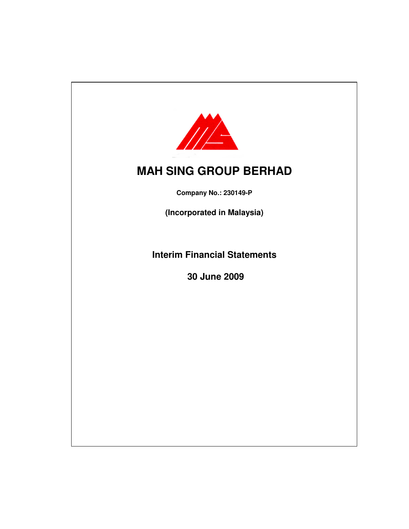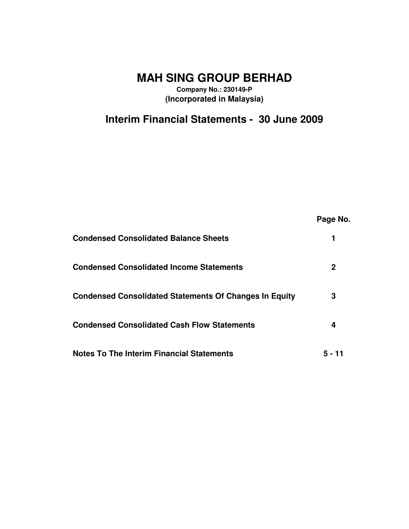**MAH SING GROUP BERHAD**

**Company No.: 230149-P (Incorporated in Malaysia)**

**Interim Financial Statements - 30 June 2009**

|                                                               | Page No. |
|---------------------------------------------------------------|----------|
| <b>Condensed Consolidated Balance Sheets</b>                  |          |
| <b>Condensed Consolidated Income Statements</b>               | 2        |
| <b>Condensed Consolidated Statements Of Changes In Equity</b> | 3        |
| <b>Condensed Consolidated Cash Flow Statements</b>            | 4        |
| <b>Notes To The Interim Financial Statements</b>              | 5 - 11   |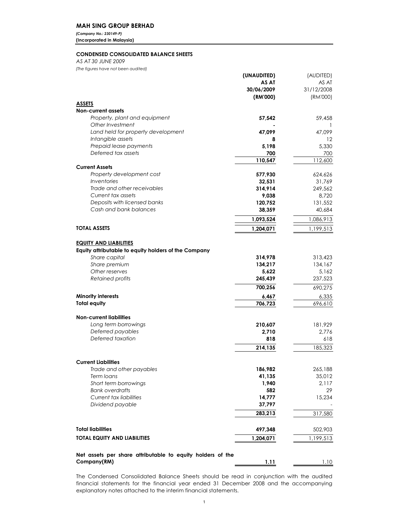# MAH SING GROUP BERHAD

(Company No.: 230149-P) (Incorporated in Malaysia)

# CONDENSED CONSOLIDATED BALANCE SHEETS

AS AT 30 JUNE 2009

(The figures have not been audited)

|                                                            | (UNAUDITED) | (AUDITED)  |
|------------------------------------------------------------|-------------|------------|
|                                                            | AS AT       | AS AT      |
|                                                            | 30/06/2009  | 31/12/2008 |
|                                                            | (RM'000)    | (RM'000)   |
| <b>ASSETS</b>                                              |             |            |
| <b>Non-current assets</b>                                  |             |            |
| Property, plant and equipment                              | 57,542      | 59,458     |
| Other Investment                                           |             | -1         |
| Land held for property development                         | 47,099      | 47,099     |
| Intangible assets                                          | 8           | $12 \,$    |
| Prepaid lease payments                                     | 5.198       | 5.330      |
| Deferred tax assets                                        | 700         | 700        |
|                                                            | 110,547     | 112,600    |
| <b>Current Assets</b>                                      |             |            |
| Property development cost                                  | 577,930     | 624,626    |
| Inventories                                                | 32,531      | 31,769     |
| Trade and other receivables                                | 314,914     | 249,562    |
| Current tax assets                                         | 9,038       | 8,720      |
| Deposits with licensed banks                               | 120,752     | 131,552    |
| Cash and bank balances                                     | 38,359      | 40,684     |
|                                                            | 1,093,524   | 1,086,913  |
| <b>TOTAL ASSETS</b>                                        | 1,204,071   | 1,199,513  |
|                                                            |             |            |
| <b>EQUITY AND LIABILITIES</b>                              |             |            |
| Equity attributable to equity holders of the Company       |             |            |
| Share capital                                              | 314,978     | 313,423    |
| Share premium                                              | 134,217     | 134,167    |
| Other reserves                                             | 5,622       | 5,162      |
| Retained profits                                           | 245,439     | 237,523    |
|                                                            |             |            |
|                                                            | 700,256     | 690,275    |
| <b>Minority interests</b>                                  | 6,467       | 6,335      |
| <b>Total equity</b>                                        | 706,723     | 696,610    |
|                                                            |             |            |
| <b>Non-current liabilities</b>                             |             |            |
| Long term borrowings                                       | 210,607     | 181,929    |
| Deferred payables                                          | 2,710       | 2,776      |
| Deferred taxation                                          | 818         | 618        |
|                                                            | 214,135     | 185,323    |
|                                                            |             |            |
| <b>Current Liabilities</b>                                 |             |            |
| Trade and other payables                                   | 186,982     | 265,188    |
| Term loans                                                 | 41,135      | 35,012     |
| Short term borrowings                                      | 1,940       | 2,117      |
| <b>Bank overdrafts</b>                                     | 582         | 29         |
| Current tax liabilities                                    | 14,777      | 15,234     |
| Dividend payable                                           | 37,797      |            |
|                                                            | 283,213     | 317,580    |
|                                                            |             |            |
| <b>Total liabilities</b>                                   | 497,348     | 502,903    |
|                                                            |             |            |
| TOTAL EQUITY AND LIABILITIES                               | 1.204.071   | 1,199,513  |
|                                                            |             |            |
| Net assets per share attributable to equity holders of the |             |            |
| Company(RM)                                                | 1.11        | 1.10       |

The Condensed Consolidated Balance Sheets should be read in conjunction with the audited financial statements for the financial year ended 31 December 2008 and the accompanying explanatory notes attached to the interim financial statements.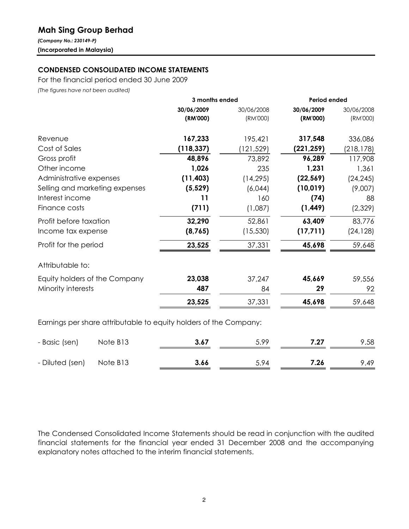# Mah Sing Group Berhad

(Company No.: 230149-P) (Incorporated in Malaysia)

# CONDENSED CONSOLIDATED INCOME STATEMENTS

For the financial period ended 30 June 2009

(The figures have not been audited)

|                                                                   | 3 months ended |            | Period ended |            |  |
|-------------------------------------------------------------------|----------------|------------|--------------|------------|--|
|                                                                   | 30/06/2009     | 30/06/2008 | 30/06/2009   | 30/06/2008 |  |
|                                                                   | (RM'000)       | (RM'000)   | (RM'000)     | (RM'000)   |  |
| Revenue                                                           | 167,233        | 195,421    | 317,548      | 336,086    |  |
| Cost of Sales                                                     | (118, 337)     | (121,529)  | (221, 259)   | (218, 178) |  |
| Gross profit                                                      | 48,896         | 73,892     | 96,289       | 117,908    |  |
| Other income                                                      | 1,026          | 235        | 1,231        | 1,361      |  |
| Administrative expenses                                           | (11, 403)      | (14, 295)  | (22, 569)    | (24, 245)  |  |
| Selling and marketing expenses                                    | (5, 529)       | (6,044)    | (10, 019)    | (9,007)    |  |
| Interest income                                                   | 11             | 160        | (74)         | 88         |  |
| Finance costs                                                     | (711)          | (1,087)    | (1, 449)     | (2,329)    |  |
| Profit before taxation                                            | 32,290         | 52,861     | 63,409       | 83,776     |  |
| Income tax expense                                                | (8, 765)       | (15, 530)  | (17, 711)    | (24, 128)  |  |
| Profit for the period                                             | 23,525         | 37,331     | 45,698       | 59,648     |  |
| Attributable to:                                                  |                |            |              |            |  |
| Equity holders of the Company                                     | 23,038         | 37,247     | 45,669       | 59,556     |  |
| Minority interests                                                | 487            | 84         | 29           | 92         |  |
|                                                                   | 23,525         | 37,331     | 45,698       | 59,648     |  |
| Earnings per share attributable to equity holders of the Company: |                |            |              |            |  |

| - Basic (sen)            | Note B13 | 3.67 | 5.99 | 7.27 | 9.58 |
|--------------------------|----------|------|------|------|------|
| - Diluted (sen) Note B13 |          | 3.66 | 5.94 | 7.26 | 9.49 |

The Condensed Consolidated Income Statements should be read in conjunction with the audited financial statements for the financial year ended 31 December 2008 and the accompanying explanatory notes attached to the interim financial statements.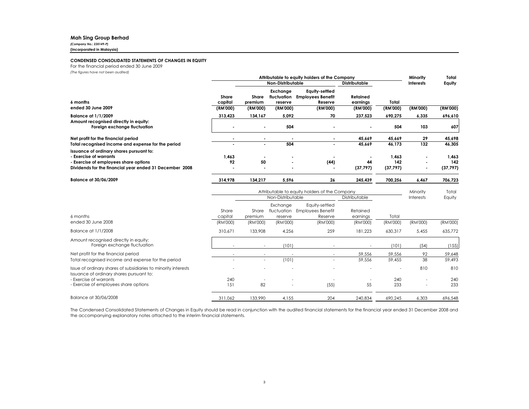# Mah Sing Group Berhad

(Company No.: 230149-P)(Incorporated in Malaysia)

#### CONDENSED CONSOLIDATED STATEMENTS OF CHANGES IN EQUITY

For the financial period ended 30 June 2009

(The figures have not been audited)

|                                                                                                                                                                        |                  | Attributable to equity holders of the Company |                                            |                                                       |                      |                           | Minority                                           | Total                     |
|------------------------------------------------------------------------------------------------------------------------------------------------------------------------|------------------|-----------------------------------------------|--------------------------------------------|-------------------------------------------------------|----------------------|---------------------------|----------------------------------------------------|---------------------------|
|                                                                                                                                                                        |                  | Non-Distributable                             |                                            |                                                       | <b>Distributable</b> |                           | <b>Interests</b>                                   | Equity                    |
| 6 months                                                                                                                                                               | Share<br>capital | Share<br>premium                              | Exchange<br>fluctuation<br>reserve         | Equity-settled<br><b>Employees Benefit</b><br>Reserve | Retained<br>earnings | Total                     |                                                    |                           |
| ended 30 June 2009                                                                                                                                                     | (RM'000)         | (RM'000)                                      | (RM'000)                                   | (RM'000)                                              | (RM'000)             | (RM'000)                  | (RM'000)                                           | (RM'000)                  |
| <b>Balance at 1/1/2009</b>                                                                                                                                             | 313,423          | 134,167                                       | 5,092                                      | 70                                                    | 237,523              | 690,275                   | 6,335                                              | 696,610                   |
| Amount recognised directly in equity:<br>Foreign exchange fluctuation                                                                                                  |                  | $\blacksquare$                                | 504                                        |                                                       |                      | 504                       | 103                                                | 607                       |
| Net profit for the financial period                                                                                                                                    |                  | $\blacksquare$                                |                                            |                                                       | 45.669               | 45.669                    | 29                                                 | 45,698                    |
| Total recognised income and expense for the period                                                                                                                     |                  | $\overline{\phantom{a}}$                      | 504                                        |                                                       | 45.669               | 46,173                    | 132                                                | 46.305                    |
| Issuance of ordinary shares pursuant to:<br>- Exercise of warrants<br>- Exercise of employees share options<br>Dividends for the financial year ended 31 December 2008 | 1,463<br>92      | 50<br>$\blacksquare$                          | $\blacksquare$<br>$\overline{\phantom{a}}$ | (44)<br>$\blacksquare$                                | 44<br>(37, 797)      | 1,463<br>142<br>(37, 797) | $\blacksquare$<br>$\blacksquare$<br>$\blacksquare$ | 1,463<br>142<br>(37, 797) |
| Balance at 30/06/2009                                                                                                                                                  | 314,978          | 134.217                                       | 5,596                                      | 26                                                    | 245.439              | 700.256                   | 6.467                                              | 706.723                   |

|                                                                                                            |                  | Attributable to equity holders of the Company |                                    |                                                |                      | Minority | Total                    |          |
|------------------------------------------------------------------------------------------------------------|------------------|-----------------------------------------------|------------------------------------|------------------------------------------------|----------------------|----------|--------------------------|----------|
|                                                                                                            |                  |                                               | Non-Distributable                  |                                                | Distributable        |          | Interests                | Equity   |
| 6 months                                                                                                   | Share<br>capital | Share<br>premium                              | Exchange<br>fluctuation<br>reserve | Equity-settled<br>Employees Benefit<br>Reserve | Retained<br>earnings | Total    |                          |          |
| ended 30 June 2008                                                                                         | (RM'000)         | (RM'000)                                      | (RM'000)                           | (RM'000)                                       | (RM'000)             | (RM'000) | (RM'000)                 | (RM'000) |
| Balance at 1/1/2008                                                                                        | 310,671          | 133,908                                       | 4,256                              | 259                                            | 181,223              | 630,317  | 5,455                    | 635,772  |
| Amount recognised directly in equity:<br>Foreign exchange fluctuation                                      |                  | $\sim$                                        | (101)                              |                                                |                      | (101)    | (54)                     | (155)    |
| Net profit for the financial period                                                                        |                  |                                               |                                    |                                                | 59,556               | 59,556   | 92                       | 59,648   |
| Total recognised income and expense for the period                                                         |                  | $\sim$                                        | (101)                              |                                                | 59,556               | 59,455   | 38                       | 59,493   |
| Issue of ordinary shares of subsidiaries to minority interests<br>Issuance of ordinary shares pursuant to: |                  |                                               |                                    |                                                |                      | -        | 810                      | 810      |
| - Exercise of warrants                                                                                     | 240              |                                               | $\overline{\phantom{a}}$           |                                                |                      | 240      | $\overline{\phantom{a}}$ | 240      |
| - Exercise of employees share options                                                                      | 151              | 82                                            | $\overline{\phantom{a}}$           | (55)                                           | 55                   | 233      | $\overline{\phantom{a}}$ | 233      |
| Balance at 30/06/2008                                                                                      | 311,062          | 133,990                                       | 4,155                              | 204                                            | 240,834              | 690,245  | 6,303                    | 696,548  |

The Condensed Consolidated Statements of Changes in Equity should be read in conjunction with the audited financial statements for the financial year ended <sup>31</sup> December <sup>2008</sup> and the accompanying explanatory notes attached to the interim financial statements.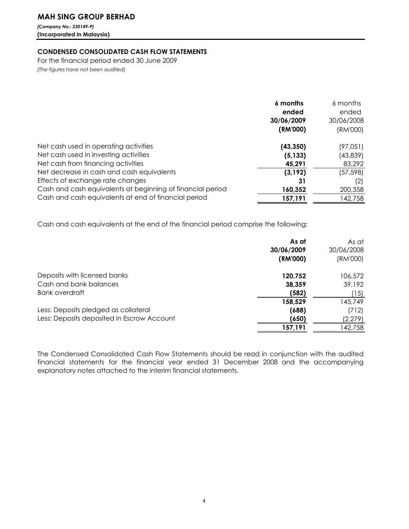# MAH SING GROUP BERHAD

(Company No.: 230149-P) (Incorporated in Malaysia)

# CONDENSED CONSOLIDATED CASH FLOW STATEMENTS

For the financial period ended 30 June 2009 (The figures have not been audited)

|                                                            | 6 months<br>ended<br>30/06/2009<br>(RM'000) | 6 months<br>ended<br>30/06/2008<br>(RM'000) |
|------------------------------------------------------------|---------------------------------------------|---------------------------------------------|
| Net cash used in operating activities                      | (43, 350)                                   | (97, 051)                                   |
| Net cash used in investing activities                      | (5, 133)                                    | (43, 839)                                   |
| Net cash from financing activities                         | 45,291                                      | 83,292                                      |
| Net decrease in cash and cash equivalents                  | (3, 192)                                    | (57, 598)                                   |
| Effects of exchange rate changes                           | 31                                          | (2)                                         |
| Cash and cash equivalents at beginning of financial period | 160,352                                     | 200,358                                     |
| Cash and cash equivalents at end of financial period       | 157,191                                     | 142,758                                     |

Cash and cash equivalents at the end of the financial period comprise the following:

|                                            | As at<br>30/06/2009 | As at<br>30/06/2008 |
|--------------------------------------------|---------------------|---------------------|
|                                            | (RM'000)            | (RM'000)            |
| Deposits with licensed banks               | 120,752             | 106,572             |
| Cash and bank balances                     | 38,359              | 39,192              |
| Bank overdraft                             | (582)               | (15)                |
|                                            | 158,529             | 145,749             |
| Less: Deposits pledged as collateral       | (688)               | (712)               |
| Less: Deposits deposited in Escrow Account | (650)               | (2,279)             |
|                                            | 157,191             | 142,758             |

The Condensed Consolidated Cash Flow Statements should be read in conjunction with the audited financial statements for the financial year ended 31 December 2008 and the accompanying explanatory notes attached to the interim financial statements.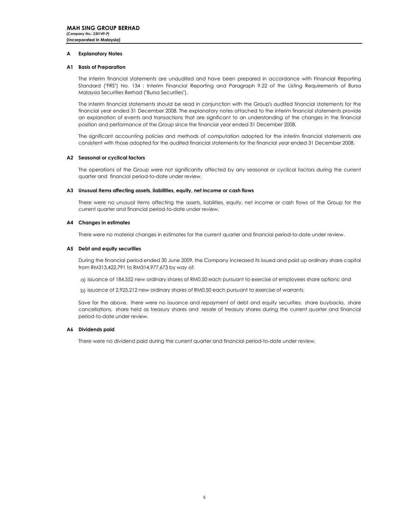# A Explanatory Notes

# A1 Basis of Preparation

The interim financial statements are unaudited and have been prepared in accordance with Financial Reporting Standard ("FRS") No. 134 : Interim Financial Reporting and Paragraph 9.22 of the Listing Requirements of Bursa Malaysia Securities Berhad ("Bursa Securities").

The interim financial statements should be read in conjunction with the Group's audited financial statements for the financial year ended 31 December 2008. The explanatory notes attached to the interim financial statements provide an explanation of events and transactions that are significant to an understanding of the changes in the financial position and performance of the Group since the financial year ended 31 December 2008.

The significant accounting policies and methods of computation adopted for the interim financial statements are consistent with those adopted for the audited financial statements for the financial year ended 31 December 2008.

# A2 Seasonal or cyclical factors

The operations of the Group were not significantly affected by any seasonal or cyclical factors during the current quarter and financial period-to-date under review.

# A3 Unusual items affecting assets, liabilities, equity, net income or cash flows

There were no unusual items affecting the assets, liabilities, equity, net income or cash flows of the Group for the current quarter and financial period-to-date under review.

# A4 Changes in estimates

There were no material changes in estimates for the current quarter and financial period-to-date under review.

# A5 Debt and equity securities

During the financial period ended 30 June 2009, the Company increased its issued and paid up ordinary share capital from RM313,422,791 to RM314,977,673 by way of:

a) issuance of 184,552 new ordinary shares of RM0.50 each pursuant to exercise of employees share options; and

b) issuance of 2,925,212 new ordinary shares of RM0.50 each pursuant to exercise of warrants.

Save for the above, there were no issuance and repayment of debt and equity securities, share buybacks, share cancellations, share held as treasury shares and resale of treasury shares during the current quarter and financial period-to-date under review.

# A6 Dividends paid

There were no dividend paid during the current quarter and financial period-to-date under review.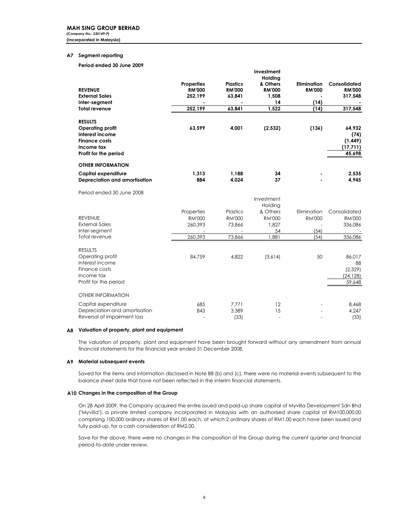# A7 Segment reporting

# Period ended 30 June 2009

| <b>REVENUE</b><br><b>External Sales</b><br>Inter-segment<br><b>Total revenue</b>                                     | <b>Properties</b><br><b>RM'000</b><br>252,199<br>252,199 | <b>Plastics</b><br><b>RM'000</b><br>63,841<br>63,841 | Investment<br>Holding<br>& Others<br><b>RM'000</b><br>1,508<br>14<br>1,522 | <b>Elimination</b><br><b>RM'000</b><br>(14)<br>(14) | Consolidated<br><b>RM'000</b><br>317,548<br>317,548 |
|----------------------------------------------------------------------------------------------------------------------|----------------------------------------------------------|------------------------------------------------------|----------------------------------------------------------------------------|-----------------------------------------------------|-----------------------------------------------------|
| <b>RESULTS</b><br>Operating profit<br>Interest income<br><b>Finance costs</b><br>Income tax<br>Profit for the period | 63,599                                                   | 4,001                                                | (2, 532)                                                                   | (136)                                               | 64,932<br>(74)<br>(1,449)<br>(17,711)<br>45,698     |
| <b>OTHER INFORMATION</b><br>Capital expenditure<br>Depreciation and amortisation                                     | 1.313<br>884                                             | 1,188<br>4.024                                       | 34<br>37                                                                   |                                                     | 2,535<br>4,945                                      |
| Period ended 30 June 2008                                                                                            |                                                          |                                                      |                                                                            |                                                     |                                                     |
|                                                                                                                      |                                                          |                                                      | Investment<br>Holding                                                      |                                                     |                                                     |
|                                                                                                                      | Properties                                               | Plastics                                             | & Others                                                                   | Elimination                                         | Consolidated                                        |
| <b>REVENUE</b>                                                                                                       | <b>RM'000</b>                                            | <b>RM'000</b>                                        | <b>RM'000</b>                                                              | <b>RM'000</b>                                       | <b>RM'000</b>                                       |
| <b>External Sales</b>                                                                                                | 260,393                                                  | 73,866                                               | 1,827                                                                      |                                                     | 336,086                                             |
| Inter-segment                                                                                                        |                                                          |                                                      | 54                                                                         | (54)                                                |                                                     |
| Total revenue                                                                                                        | 260,393                                                  | 73,866                                               | 1,881                                                                      | (54)                                                | 336,086                                             |
| <b>RESULTS</b>                                                                                                       |                                                          |                                                      |                                                                            |                                                     |                                                     |
| Operating profit                                                                                                     | 84.759                                                   | 4.822                                                | (3,614)                                                                    | 50                                                  | 86.017                                              |
| Interest income<br>Finance costs                                                                                     |                                                          |                                                      |                                                                            |                                                     | 88                                                  |
| Income tax                                                                                                           |                                                          |                                                      |                                                                            |                                                     | (2,329)<br>(24, 128)                                |
| Profit for the period                                                                                                |                                                          |                                                      |                                                                            |                                                     | 59,648                                              |
| <b>OTHER INFORMATION</b>                                                                                             |                                                          |                                                      |                                                                            |                                                     |                                                     |
| Capital expenditure                                                                                                  | 685                                                      | 7,771                                                | 12                                                                         |                                                     | 8,468                                               |
| Depreciation and amortisation                                                                                        | 843                                                      | 3.389                                                | 15                                                                         |                                                     | 4,247                                               |
| Reversal of impairment loss                                                                                          | L.                                                       | (33)                                                 | $\overline{\phantom{a}}$                                                   |                                                     | (33)                                                |

# A8 Valuation of property, plant and equipment

The valuation of property, plant and equipment have been brought forward without any amendment from annual financial statements for the financial year ended 31 December 2008.

# A9 Material subsequent events

Saved for the items and information disclosed in Note B8 (b) and (c), there were no material events subsequent to the balance sheet date that have not been reflected in the interim financial statements.

# A10 Changes in the composition of the Group

On 28 April 2009, the Company acquired the entire issued and paid-up share capital of Myvilla Development Sdn Bhd ("Myvilla"), a private limited company incorporated in Malaysia with an authorised share capital of RM100,000.00 comprising 100,000 ordinary shares of RM1.00 each, of which 2 ordinary shares of RM1.00 each have been issued and fully paid-up, for a cash consideration of RM2.00.

Save for the above, there were no changes in the composition of the Group during the current quarter and financial period-to-date under review.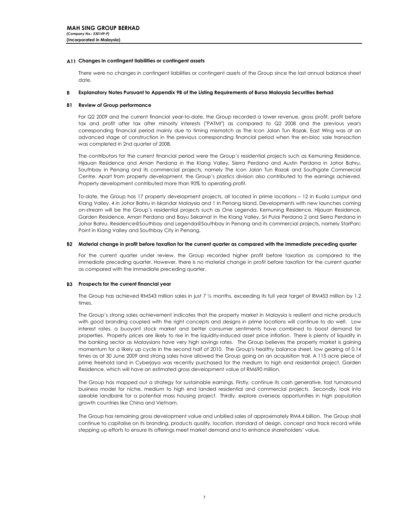# A11 Changes in contingent liabilities or contingent assets

There were no changes in contingent liabilities or contingent assets of the Group since the last annual balance sheet date.

#### R. Explanatory Notes Pursuant to Appendix 9B of the Listing Requirements of Bursa Malaysia Securities Berhad

# B1 Review of Group performance

For Q2 2009 and the current financial year-to-date, the Group recorded a lower revenue, gross profit, profit before tax and profit after tax after minority interests ("PATMI") as compared to Q2 2008 and the previous year's corresponding financial period mainly due to timing mismatch as The Icon Jalan Tun Razak, East Wing was at an advanced stage of construction in the previous corresponding financial period when the en-bloc sale transaction was completed in 2nd quarter of 2008.

The contributors for the current financial period were the Group's residential projects such as Kemuning Residence, Hijauan Residence and Aman Perdana in the Klang Valley, Sierra Perdana and Austin Perdana in Johor Bahru, Southbay in Penang and its commercial projects, namely The Icon Jalan Tun Razak and Southgate Commercial Centre. Apart from property development, the Group's plastics division also contributed to the earnings achieved. Property development contributed more than 90% to operating profit.

To-date, the Group has 17 property development projects, all located in prime locations – 12 in Kuala Lumpur and Klang Valley, 4 in Johor Bahru in Iskandar Malaysia and 1 in Penang Island. Developments with new launches coming on-stream will be the Group's residential projects such as One Legenda, Kemuning Residence, Hijauan Residence, Garden Residence, Aman Perdana and Bayu Sekamat in the Klang Valley, Sri Pulai Perdana 2 and Sierra Perdana in Johor Bahru, Residence@Southbay and Legenda@Southbay in Penang and its commercial projects, namely StarParc Point in Klang Valley and Southbay City in Penang.

# B2 Material change in profit before taxation for the current quarter as compared with the immediate preceding quarter

For the current quarter under review, the Group recorded higher profit before taxation as compared to the immediate preceding quarter. However, there is no material change in profit before taxation for the current quarter as compared with the immediate preceding quarter.

# B3 Prospects for the current financial year

The Group has achieved RM543 million sales in just 7 ½ months, exceeding its full year target of RM453 million by 1.2 times.

The Group's strong sales achievement indicates that the property market in Malaysia is resilient and niche products with good branding coupled with the right concepts and designs in prime locations will continue to do well. Low interest rates, a buoyant stock market and better consumer sentiments have combined to boost demand for properties. Property prices are likely to rise in the liquidity-induced asset price inflation. There is plenty of liquidity in the banking sector as Malaysians have very high savings rates. The Group believes the property market is gaining momentum for a likely up cycle in the second half of 2010. The Group's healthy balance sheet, low gearing of 0.14 times as at 30 June 2009 and strong sales have allowed the Group going on an acquisition trail. A 115 acre piece of prime freehold land in Cyberjaya was recently purchased for the medium to high end residential project, Garden Residence, which will have an estimated gross development value of RM690 million.

The Group has mapped out a strategy for sustainable earnings. Firstly, continue its cash generative, fast turnaround business model for niche, medium to high end landed residential and commercial projects. Secondly, look into sizeable landbank for a potential mass housing project. Thirdly, explore overseas opportunities in high population growth countries like China and Vietnam.

The Group has remaining gross development value and unbilled sales of approximately RM4.4 billion. The Group shall continue to capitalise on its branding, products quality, location, standard of design, concept and track record while stepping up efforts to ensure its offerings meet market demand and to enhance shareholders' value.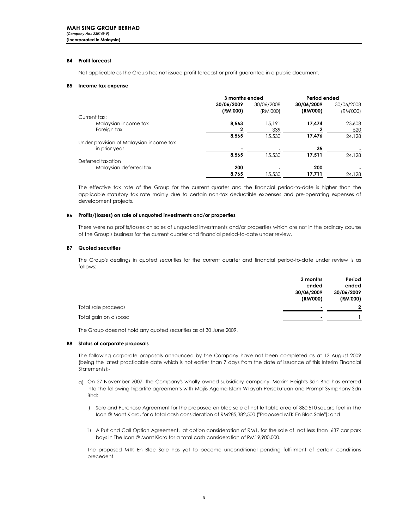# B4 Profit forecast

Not applicable as the Group has not issued profit forecast or profit guarantee in a public document.

#### B5 Income tax expense

|                                         | 3 months ended |            | Period ended |            |  |
|-----------------------------------------|----------------|------------|--------------|------------|--|
|                                         | 30/06/2009     | 30/06/2008 | 30/06/2009   | 30/06/2008 |  |
|                                         | (RM'000)       | (RM'000)   | (RM'000)     | (RM'000)   |  |
| Current tax:                            |                |            |              |            |  |
| Malaysian income tax                    | 8.563          | 15.191     | 17.474       | 23,608     |  |
| Foreign tax                             |                | 339        | 2            | 520        |  |
|                                         | 8,565          | 15,530     | 17,476       | 24.128     |  |
| Under provision of Malaysian income tax |                |            |              |            |  |
| in prior year                           |                |            | 35           |            |  |
|                                         | 8,565          | 15,530     | 17,511       | 24.128     |  |
| Deferred taxation                       |                |            |              |            |  |
| Malaysian deferred tax                  | 200            |            | 200          |            |  |
|                                         | 8.765          | 15,530     | 17,711       | 24.128     |  |

The effective tax rate of the Group for the current quarter and the financial period-to-date is higher than the applicable statutory tax rate mainly due to certain non-tax deductible expenses and pre-operating expenses of development projects.

# B6 Profits/(losses) on sale of unquoted investments and/or properties

There were no profits/losses on sales of unquoted investments and/or properties which are not in the ordinary course of the Group's business for the current quarter and financial period-to-date under review.

# B7 Quoted securities

The Group's dealings in quoted securities for the current quarter and financial period-to-date under review is as follows:

|                        | 3 months   | Period     |
|------------------------|------------|------------|
|                        | ended      | ended      |
|                        | 30/06/2009 | 30/06/2009 |
|                        | (RM'000)   | (RM'000)   |
| Total sale proceeds    |            | 2          |
| Total gain on disposal |            |            |
|                        |            |            |

The Group does not hold any quoted securities as at 30 June 2009.

# B8 Status of corporate proposals

The following corporate proposals announced by the Company have not been completed as at 12 August 2009 (being the latest practicable date which is not earlier than 7 days from the date of issuance of this Interim Financial Statements):-

- a) On 27 November 2007, the Company's wholly owned subsidiary company, Maxim Heights Sdn Bhd has entered into the following tripartite agreements with Majlis Agama Islam Wilayah Persekutuan and Prompt Symphony Sdn Bhd:
	- i) Sale and Purchase Agreement for the proposed en bloc sale of net lettable area of 380,510 square feet in The Icon @ Mont Kiara, for a total cash consideration of RM285,382,500 ("Proposed MTK En Bloc Sale"); and
	- ii) A Put and Call Option Agreement, at option consideration of RM1, for the sale of not less than 637 car park bays in The Icon @ Mont Kiara for a total cash consideration of RM19,900,000.

The proposed MTK En Bloc Sale has yet to become unconditional pending fulfillment of certain conditions precedent.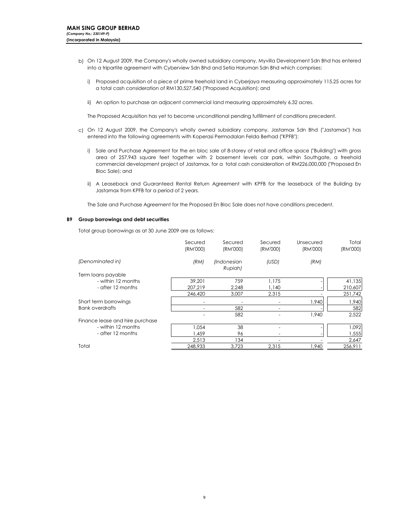- b) On 12 August 2009, the Company's wholly owned subsidiary company, Myvilla Development Sdn Bhd has entered into a tripartite agreement with Cyberview Sdn Bhd and Setia Haruman Sdn Bhd which comprises:
	- i) Proposed acquisition of a piece of prime freehold land in Cyberjaya measuring approximately 115.25 acres for a total cash consideration of RM130,527,540 ("Proposed Acquisition); and
	- ii) An option to purchase an adjacent commercial land measuring approximately 6.32 acres.

The Proposed Acquisition has yet to become unconditional pending fulfillment of conditions precedent.

- c) On 12 August 2009, the Company's wholly owned subsidiary company, Jastamax Sdn Bhd ("Jastamax") has entered into the following agreements with Koperasi Permodalan Felda Berhad ("KPFB"):
	- i) Sale and Purchase Agreement for the en bloc sale of 8-storey of retail and office space ("Building") with gross area of 257,943 square feet together with 2 basement levels car park, within Southgate, a freehold commercial development project of Jastamax, for a total cash consideration of RM226,000,000 ("Proposed En Bloc Sale); and
	- ii) A Leaseback and Guaranteed Rental Return Agreement with KPFB for the leaseback of the Building by Jastamax from KPFB for a period of 2 years.

The Sale and Purchase Agreement for the Proposed En Bloc Sale does not have conditions precedent.

#### B9 Group borrowings and debt securities

Total group borrowings as at 30 June 2009 are as follows:

|                                 | Secured<br>(RM'000) | Secured<br>(RM'000)    | Secured<br>(RM'000) | Unsecured<br>(RM'000) | Total<br>(RM'000) |
|---------------------------------|---------------------|------------------------|---------------------|-----------------------|-------------------|
| (Denominated in)                | (RM)                | (Indonesian<br>Rupiah) | (USD)               | (RM)                  |                   |
| Term loans payable              |                     |                        |                     |                       |                   |
| - within 12 months              | 39.201              | 759                    | 1.175               |                       | 41,135            |
| - after 12 months               | 207.219             | 2,248                  | 1,140               |                       | 210,607           |
|                                 | 246,420             | 3,007                  | 2,315               |                       | 251,742           |
| Short term borrowings           |                     |                        |                     | 1,940                 | 1,940             |
| <b>Bank overdrafts</b>          |                     | 582                    |                     |                       | 582               |
|                                 |                     | 582                    |                     | 1.940                 | 2,522             |
| Finance lease and hire purchase |                     |                        |                     |                       |                   |
| - within 12 months              | 1.054               | 38                     |                     |                       | 1.092             |
| - after 12 months               | .459                | 96                     |                     |                       | 1,555             |
|                                 | 2,513               | 134                    |                     |                       | 2,647             |
| Total                           | 248,933             | 3,723                  | 2,315               | 1,940                 | 256,911           |
|                                 |                     |                        |                     |                       |                   |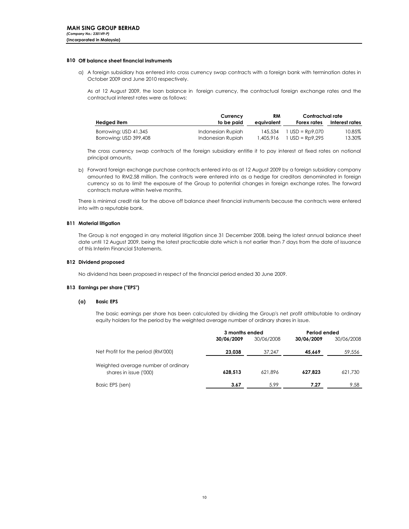# B10 Off balance sheet financial instruments

a) A foreign subsidiary has entered into cross currency swap contracts with a foreign bank with termination dates in October 2009 and June 2010 respectively.

As at 12 August 2009, the loan balance in foreign currency, the contractual foreign exchange rates and the contractual interest rates were as follows:

|                        | Currency          | RM         | Contractual rate                           |                |
|------------------------|-------------------|------------|--------------------------------------------|----------------|
| Hedged item            | to be paid        | eauivalent | Forex rates                                | Interest rates |
| Borrowing: USD 41,345  | Indonesian Rupiah |            | $145.534$ $1 \text{ USD} = \text{RD}9.070$ | 10.85%         |
| Borrowing: USD 399,408 | Indonesian Rupiah | 1.405.916  | $1$ USD = Rp9.295                          | 13.30%         |

The cross currency swap contracts of the foreign subsidiary entitle it to pay interest at fixed rates on notional principal amounts.

b) Forward foreign exchange purchase contracts entered into as at 12 August 2009 by a foreign subsidiary company amounted to RM2.58 million. The contracts were entered into as a hedge for creditors denominated in foreign currency so as to limit the exposure of the Group to potential changes in foreign exchange rates. The forward contracts mature within twelve months.

There is minimal credit risk for the above off balance sheet financial instruments because the contracts were entered into with a reputable bank.

# B11 Material litigation

The Group is not engaged in any material litigation since 31 December 2008, being the latest annual balance sheet date until 12 August 2009, being the latest practicable date which is not earlier than 7 days from the date of issuance of this Interim Financial Statements.

#### B12 Dividend proposed

No dividend has been proposed in respect of the financial period ended 30 June 2009.

#### B13 Earnings per share ("EPS")

#### (a) Basic EPS

The basic earnings per share has been calculated by dividing the Group's net profit attributable to ordinary equity holders for the period by the weighted average number of ordinary shares in issue.

|                                                               | 3 months ended |            | Period ended |            |
|---------------------------------------------------------------|----------------|------------|--------------|------------|
|                                                               | 30/06/2009     | 30/06/2008 | 30/06/2009   | 30/06/2008 |
| Net Profit for the period (RM'000)                            | 23.038         | 37.247     | 45.669       | 59,556     |
| Weighted average number of ordinary<br>shares in issue ('000) | 628.513        | 621.896    | 627.823      | 621,730    |
| Basic EPS (sen)                                               | 3.67           | 5.99       | 7.27         | 9.58       |